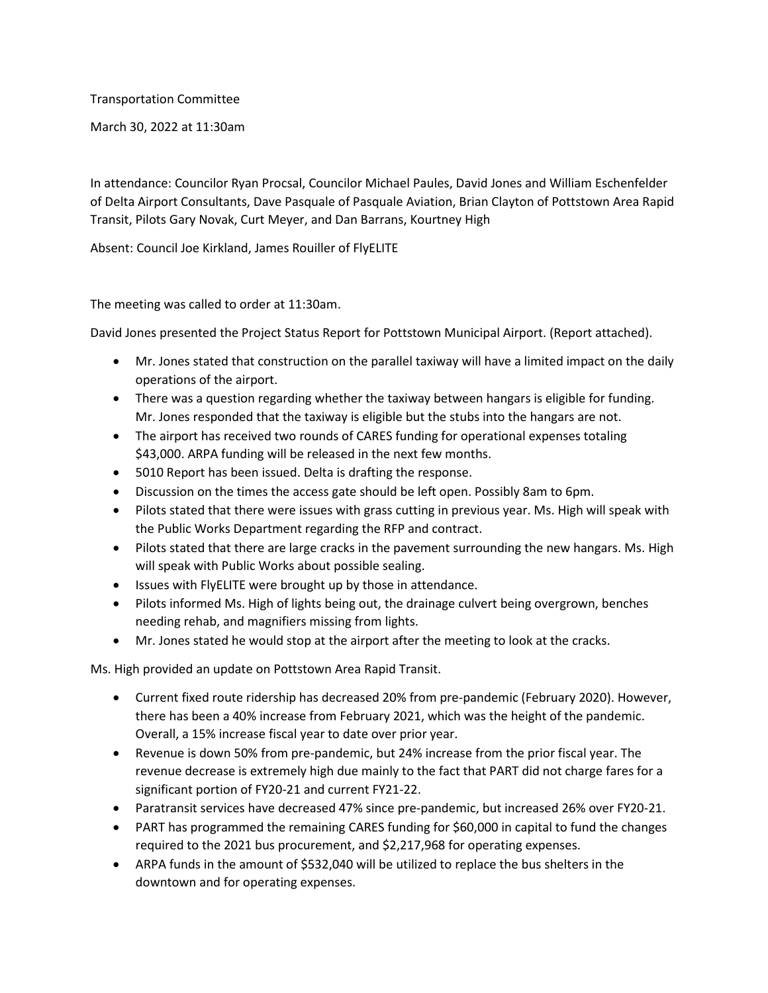Transportation Committee

March 30, 2022 at 11:30am

In attendance: Councilor Ryan Procsal, Councilor Michael Paules, David Jones and William Eschenfelder of Delta Airport Consultants, Dave Pasquale of Pasquale Aviation, Brian Clayton of Pottstown Area Rapid Transit, Pilots Gary Novak, Curt Meyer, and Dan Barrans, Kourtney High

Absent: Council Joe Kirkland, James Rouiller of FlyELITE

The meeting was called to order at 11:30am.

David Jones presented the Project Status Report for Pottstown Municipal Airport. (Report attached).

- Mr. Jones stated that construction on the parallel taxiway will have a limited impact on the daily operations of the airport.
- There was a question regarding whether the taxiway between hangars is eligible for funding. Mr. Jones responded that the taxiway is eligible but the stubs into the hangars are not.
- The airport has received two rounds of CARES funding for operational expenses totaling \$43,000. ARPA funding will be released in the next few months.
- 5010 Report has been issued. Delta is drafting the response.
- Discussion on the times the access gate should be left open. Possibly 8am to 6pm.
- Pilots stated that there were issues with grass cutting in previous year. Ms. High will speak with the Public Works Department regarding the RFP and contract.
- Pilots stated that there are large cracks in the pavement surrounding the new hangars. Ms. High will speak with Public Works about possible sealing.
- Issues with FlyELITE were brought up by those in attendance.
- Pilots informed Ms. High of lights being out, the drainage culvert being overgrown, benches needing rehab, and magnifiers missing from lights.
- Mr. Jones stated he would stop at the airport after the meeting to look at the cracks.

Ms. High provided an update on Pottstown Area Rapid Transit.

- Current fixed route ridership has decreased 20% from pre-pandemic (February 2020). However, there has been a 40% increase from February 2021, which was the height of the pandemic. Overall, a 15% increase fiscal year to date over prior year.
- Revenue is down 50% from pre-pandemic, but 24% increase from the prior fiscal year. The revenue decrease is extremely high due mainly to the fact that PART did not charge fares for a significant portion of FY20-21 and current FY21-22.
- Paratransit services have decreased 47% since pre-pandemic, but increased 26% over FY20-21.
- PART has programmed the remaining CARES funding for \$60,000 in capital to fund the changes required to the 2021 bus procurement, and \$2,217,968 for operating expenses.
- ARPA funds in the amount of \$532,040 will be utilized to replace the bus shelters in the downtown and for operating expenses.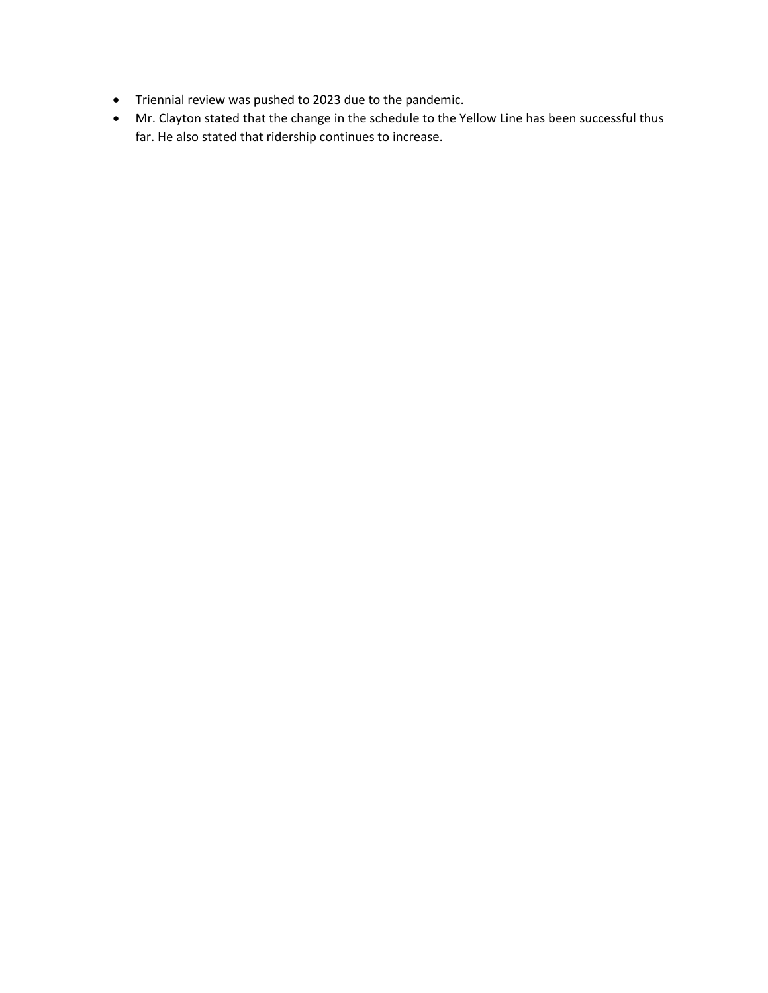- Triennial review was pushed to 2023 due to the pandemic.
- Mr. Clayton stated that the change in the schedule to the Yellow Line has been successful thus far. He also stated that ridership continues to increase.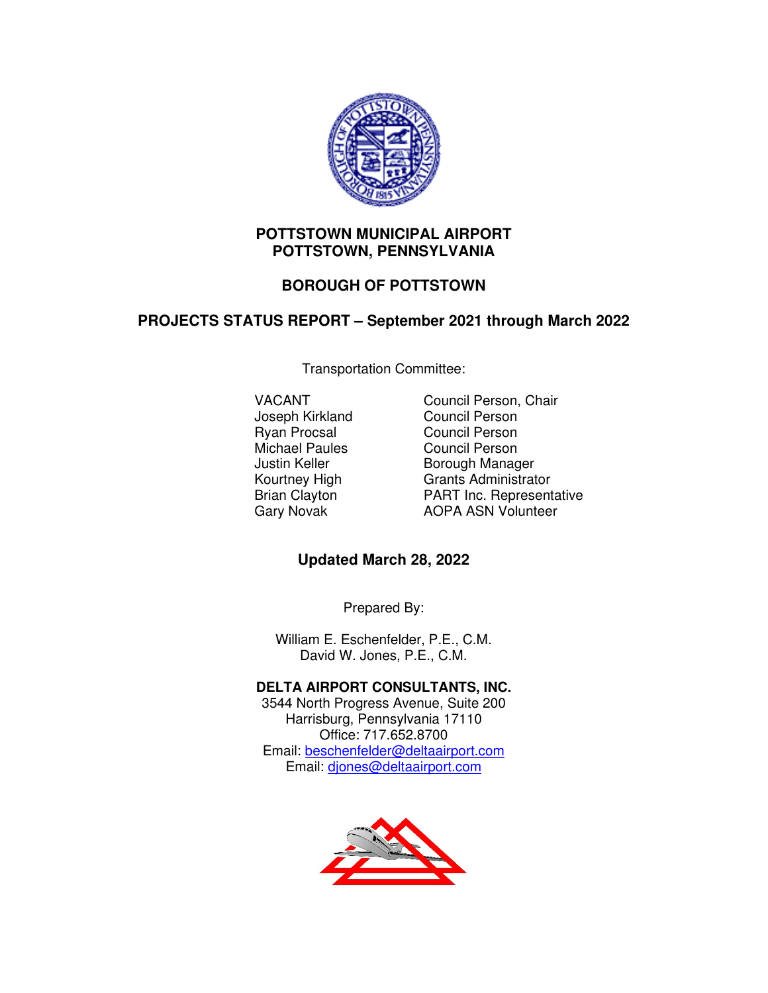

### **POTTSTOWN MUNICIPAL AIRPORT POTTSTOWN, PENNSYLVANIA**

# **BOROUGH OF POTTSTOWN**

## **PROJECTS STATUS REPORT – September 2021 through March 2022**

Transportation Committee:

Joseph Kirkland Ryan Procsal Council Person Michael Paules<br>
Justin Keller<br>
Council Person<br>
Borough Manag

VACANT Council Person, Chair<br>Joseph Kirkland Council Person Borough Manager Kourtney High Grants Administrator Brian Clayton **PART Inc. Representative**<br>
Gary Novak **AOPA ASN Volunteer** AOPA ASN Volunteer

## **Updated March 28, 2022**

Prepared By:

William E. Eschenfelder, P.E., C.M. David W. Jones, P.E., C.M.

## **DELTA AIRPORT CONSULTANTS, INC.**

3544 North Progress Avenue, Suite 200 Harrisburg, Pennsylvania 17110 Office: 717.652.8700 Email: beschenfelder@deltaairport.com Email: djones@deltaairport.com

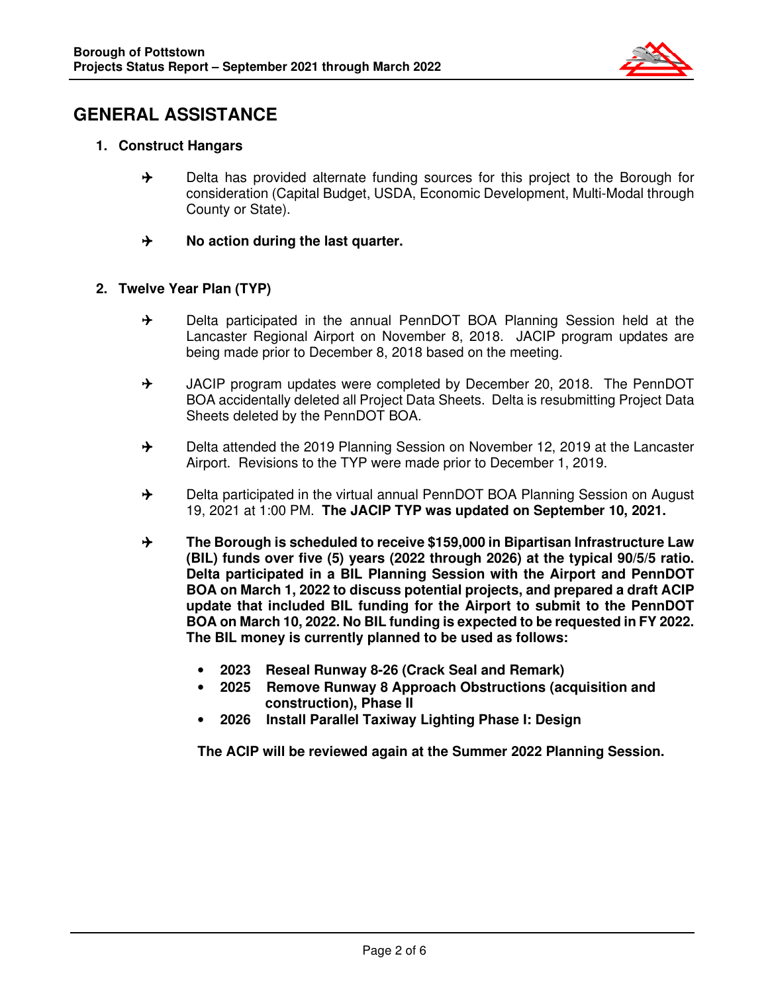

# **GENERAL ASSISTANCE**

- **1. Construct Hangars** 
	- $\rightarrow$  Delta has provided alternate funding sources for this project to the Borough for consideration (Capital Budget, USDA, Economic Development, Multi-Modal through County or State).
	- $\rightarrow$  No action during the last quarter.

### **2. Twelve Year Plan (TYP)**

- $\rightarrow$  Delta participated in the annual PennDOT BOA Planning Session held at the Lancaster Regional Airport on November 8, 2018. JACIP program updates are being made prior to December 8, 2018 based on the meeting.
- $\rightarrow$  JACIP program updates were completed by December 20, 2018. The PennDOT BOA accidentally deleted all Project Data Sheets. Delta is resubmitting Project Data Sheets deleted by the PennDOT BOA.
- $\rightarrow$  Delta attended the 2019 Planning Session on November 12, 2019 at the Lancaster Airport. Revisions to the TYP were made prior to December 1, 2019.
- $\rightarrow$  Delta participated in the virtual annual PennDOT BOA Planning Session on August 19, 2021 at 1:00 PM. **The JACIP TYP was updated on September 10, 2021.**
- **The Borough is scheduled to receive \$159,000 in Bipartisan Infrastructure Law (BIL) funds over five (5) years (2022 through 2026) at the typical 90/5/5 ratio. Delta participated in a BIL Planning Session with the Airport and PennDOT BOA on March 1, 2022 to discuss potential projects, and prepared a draft ACIP update that included BIL funding for the Airport to submit to the PennDOT BOA on March 10, 2022. No BIL funding is expected to be requested in FY 2022. The BIL money is currently planned to be used as follows:** 
	- **2023 Reseal Runway 8-26 (Crack Seal and Remark)**
	- **2025 Remove Runway 8 Approach Obstructions (acquisition and construction), Phase II**
	- **2026 Install Parallel Taxiway Lighting Phase I: Design**

**The ACIP will be reviewed again at the Summer 2022 Planning Session.**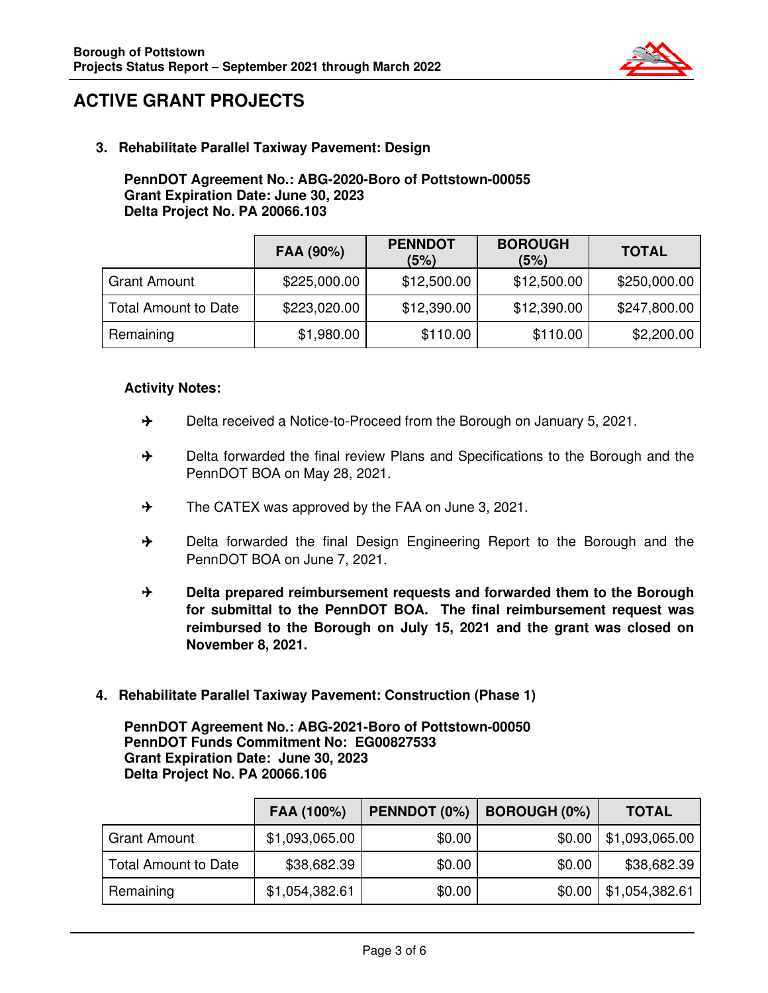

# **ACTIVE GRANT PROJECTS**

**3. Rehabilitate Parallel Taxiway Pavement: Design** 

#### **PennDOT Agreement No.: ABG-2020-Boro of Pottstown-00055 Grant Expiration Date: June 30, 2023 Delta Project No. PA 20066.103**

|                             | FAA (90%)    | <b>PENNDOT</b><br>(5%) | <b>BOROUGH</b><br>(5%) | <b>TOTAL</b> |
|-----------------------------|--------------|------------------------|------------------------|--------------|
| <b>Grant Amount</b>         | \$225,000.00 | \$12,500.00            | \$12,500.00            | \$250,000.00 |
| <b>Total Amount to Date</b> | \$223,020.00 | \$12,390.00            | \$12,390.00            | \$247,800.00 |
| Remaining                   | \$1,980.00   | \$110.00               | \$110.00               | \$2,200.00   |

### **Activity Notes:**

- $\rightarrow$  Delta received a Notice-to-Proceed from the Borough on January 5, 2021.
- $\rightarrow$  Delta forwarded the final review Plans and Specifications to the Borough and the PennDOT BOA on May 28, 2021.
- $\rightarrow$  The CATEX was approved by the FAA on June 3, 2021.
- → Delta forwarded the final Design Engineering Report to the Borough and the PennDOT BOA on June 7, 2021.
- **Branch Prepared reimbursement requests and forwarded them to the Borough for submittal to the PennDOT BOA. The final reimbursement request was reimbursed to the Borough on July 15, 2021 and the grant was closed on November 8, 2021.**
- **4. Rehabilitate Parallel Taxiway Pavement: Construction (Phase 1)**

**PennDOT Agreement No.: ABG-2021-Boro of Pottstown-00050 PennDOT Funds Commitment No: EG00827533 Grant Expiration Date: June 30, 2023 Delta Project No. PA 20066.106** 

|                             | FAA (100%)     | PENNDOT (0%) | <b>BOROUGH (0%)</b> | <b>TOTAL</b>   |
|-----------------------------|----------------|--------------|---------------------|----------------|
| <b>Grant Amount</b>         | \$1,093,065.00 | \$0.00       | \$0.00              | \$1,093,065.00 |
| <b>Total Amount to Date</b> | \$38,682.39    | \$0.00       | \$0.00              | \$38,682.39    |
| Remaining                   | \$1,054,382.61 | \$0.00       | \$0.00              | \$1,054,382.61 |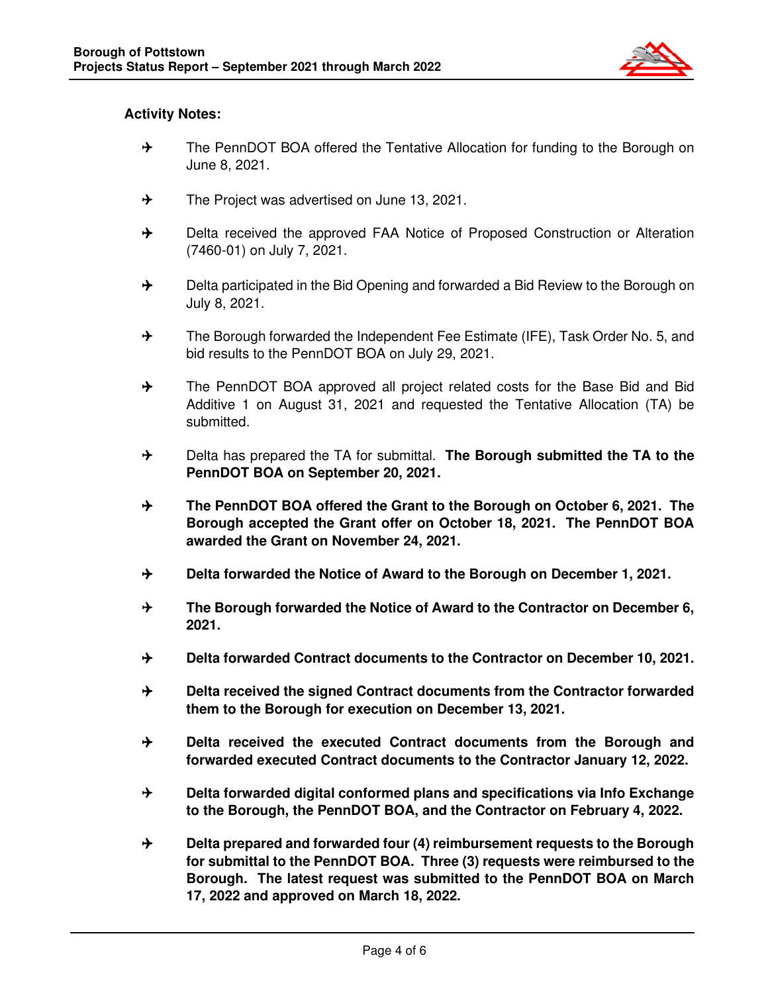

### **Activity Notes:**

- → The PennDOT BOA offered the Tentative Allocation for funding to the Borough on June 8, 2021.
- $\rightarrow$  The Project was advertised on June 13, 2021.
- $\rightarrow$  Delta received the approved FAA Notice of Proposed Construction or Alteration (7460-01) on July 7, 2021.
- $\rightarrow$  Delta participated in the Bid Opening and forwarded a Bid Review to the Borough on July 8, 2021.
- $\rightarrow$  The Borough forwarded the Independent Fee Estimate (IFE), Task Order No. 5, and bid results to the PennDOT BOA on July 29, 2021.
- $\rightarrow$  The PennDOT BOA approved all project related costs for the Base Bid and Bid Additive 1 on August 31, 2021 and requested the Tentative Allocation (TA) be submitted.
- → Delta has prepared the TA for submittal. **The Borough submitted the TA to the PennDOT BOA on September 20, 2021.**
- **The PennDOT BOA offered the Grant to the Borough on October 6, 2021. The Borough accepted the Grant offer on October 18, 2021. The PennDOT BOA awarded the Grant on November 24, 2021.**
- **Branger 1, 2021.** Delta forwarded the Notice of Award to the Borough on December 1, 2021.
- **The Borough forwarded the Notice of Award to the Contractor on December 6, 2021.**
- $\rightarrow$  **Delta forwarded Contract documents to the Contractor on December 10, 2021.**
- **Bulla received the signed Contract documents from the Contractor forwarded them to the Borough for execution on December 13, 2021.**
- **Delta received the executed Contract documents from the Borough and forwarded executed Contract documents to the Contractor January 12, 2022.**
- **B** Delta forwarded digital conformed plans and specifications via Info Exchange **to the Borough, the PennDOT BOA, and the Contractor on February 4, 2022.**
- **Delta prepared and forwarded four (4) reimbursement requests to the Borough for submittal to the PennDOT BOA. Three (3) requests were reimbursed to the Borough. The latest request was submitted to the PennDOT BOA on March 17, 2022 and approved on March 18, 2022.**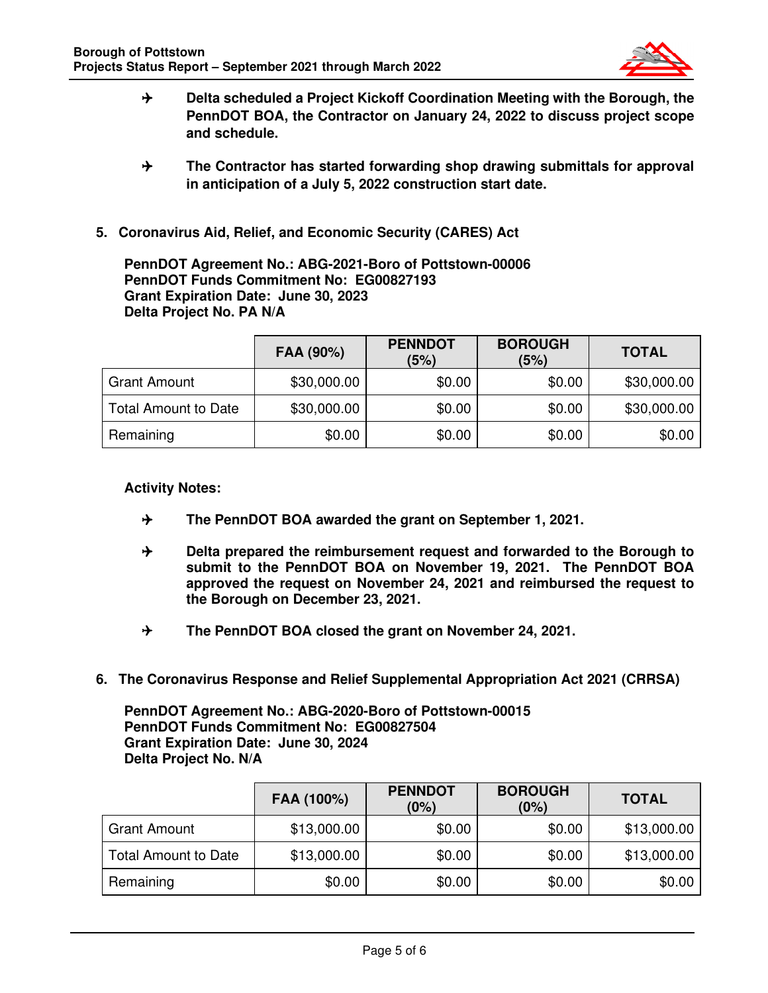

- **B** Delta scheduled a Project Kickoff Coordination Meeting with the Borough, the **PennDOT BOA, the Contractor on January 24, 2022 to discuss project scope and schedule.**
- **The Contractor has started forwarding shop drawing submittals for approval in anticipation of a July 5, 2022 construction start date.**
- **5. Coronavirus Aid, Relief, and Economic Security (CARES) Act**

**PennDOT Agreement No.: ABG-2021-Boro of Pottstown-00006 PennDOT Funds Commitment No: EG00827193 Grant Expiration Date: June 30, 2023 Delta Project No. PA N/A** 

|                             | FAA (90%)   | <b>PENNDOT</b><br>(5%) | <b>BOROUGH</b><br>(5%) | <b>TOTAL</b> |
|-----------------------------|-------------|------------------------|------------------------|--------------|
| <b>Grant Amount</b>         | \$30,000.00 | \$0.00                 | \$0.00                 | \$30,000.00  |
| <b>Total Amount to Date</b> | \$30,000.00 | \$0.00                 | \$0.00                 | \$30,000.00  |
| Remaining                   | \$0.00      | \$0.00                 | \$0.00                 | \$0.00       |

### **Activity Notes:**

- **The PennDOT BOA awarded the grant on September 1, 2021.**
- **Brand Exhibit Prepared the reimbursement request and forwarded to the Borough to submit to the PennDOT BOA on November 19, 2021. The PennDOT BOA approved the request on November 24, 2021 and reimbursed the request to the Borough on December 23, 2021.**
- **The PennDOT BOA closed the grant on November 24, 2021.**
- **6. The Coronavirus Response and Relief Supplemental Appropriation Act 2021 (CRRSA)**

**PennDOT Agreement No.: ABG-2020-Boro of Pottstown-00015 PennDOT Funds Commitment No: EG00827504 Grant Expiration Date: June 30, 2024 Delta Project No. N/A** 

|                             | FAA (100%)  | <b>PENNDOT</b><br>(0%) | <b>BOROUGH</b><br>(0%) | <b>TOTAL</b> |
|-----------------------------|-------------|------------------------|------------------------|--------------|
| <b>Grant Amount</b>         | \$13,000.00 | \$0.00                 | \$0.00                 | \$13,000.00  |
| <b>Total Amount to Date</b> | \$13,000.00 | \$0.00                 | \$0.00                 | \$13,000.00  |
| Remaining                   | \$0.00      | \$0.00                 | \$0.00                 | \$0.00       |